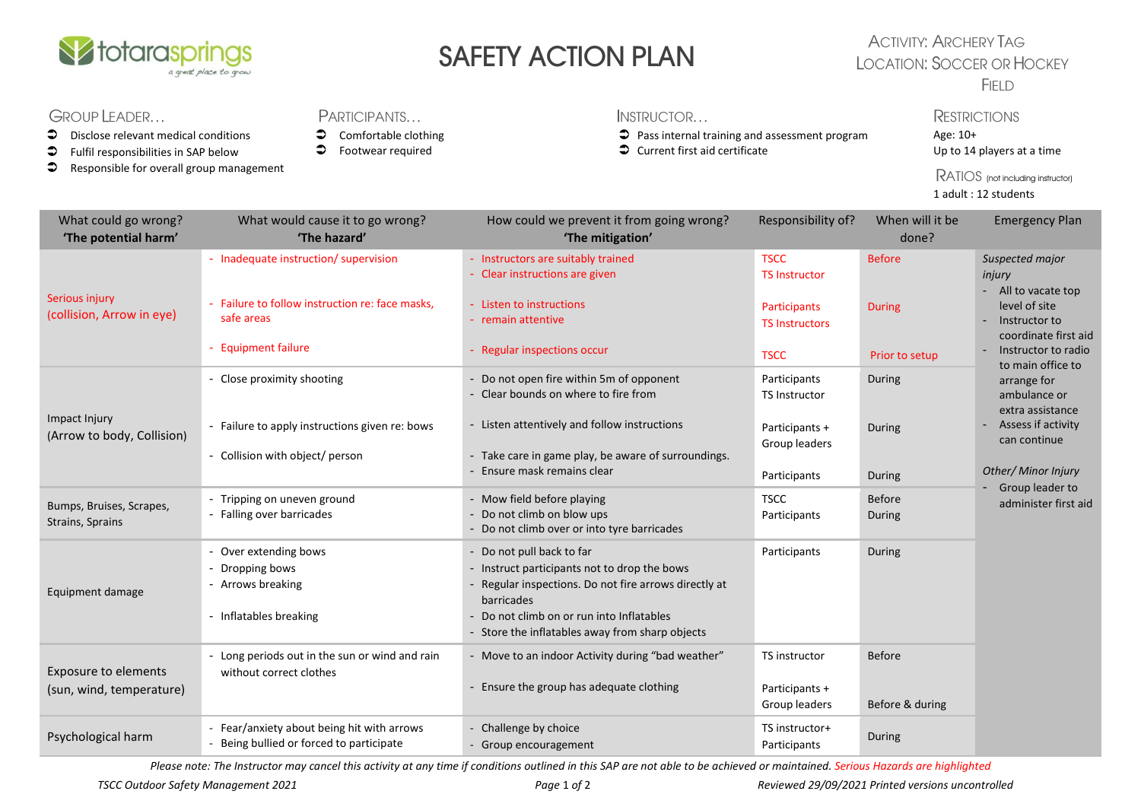

# SAFETY ACTION PLAN

### **ACTIVITY: ARCHERY TAG LOCATION: SOCCER OR HOCKEY** FIELD

## **GROUP LEADER...**

- $\bullet$  Disclose relevant medical conditions
- $\bullet$  Fulfil responsibilities in SAP below
- **C** Responsible for overall group management

#### PARTICIPANTS...

- $\bullet$  Comfortable clothing
- $\bullet$  Footwear required

#### INSTRUCTOR...

- Pass internal training and assessment program
- Current first aid certificate

**RESTRICTIONS** Age: 10+ Up to 14 players at a time

RATIOS (not including instructor) 1 adult : 12 students

| What could go wrong?                                    | What would cause it to go wrong?                                                    | How could we prevent it from going wrong?                                                                                                                                                 | Responsibility of?                           | When will it be         | <b>Emergency Plan</b>                                                                                                                                                                                                                                                                                               |
|---------------------------------------------------------|-------------------------------------------------------------------------------------|-------------------------------------------------------------------------------------------------------------------------------------------------------------------------------------------|----------------------------------------------|-------------------------|---------------------------------------------------------------------------------------------------------------------------------------------------------------------------------------------------------------------------------------------------------------------------------------------------------------------|
| 'The potential harm'                                    | 'The hazard'                                                                        | 'The mitigation'                                                                                                                                                                          |                                              | done?                   |                                                                                                                                                                                                                                                                                                                     |
| Serious injury<br>(collision, Arrow in eye)             | - Inadequate instruction/ supervision                                               | - Instructors are suitably trained<br>Clear instructions are given                                                                                                                        | <b>TSCC</b><br><b>TS Instructor</b>          | <b>Before</b>           | Suspected major<br>injury<br>- All to vacate top<br>level of site<br>Instructor to<br>coordinate first aid<br>Instructor to radio<br>to main office to<br>arrange for<br>ambulance or<br>extra assistance<br>Assess if activity<br>can continue<br>Other/ Minor Injury<br>- Group leader to<br>administer first aid |
|                                                         | - Failure to follow instruction re: face masks,<br>safe areas                       | - Listen to instructions<br>- remain attentive                                                                                                                                            | <b>Participants</b><br><b>TS Instructors</b> | <b>During</b>           |                                                                                                                                                                                                                                                                                                                     |
|                                                         | - Equipment failure                                                                 | - Regular inspections occur                                                                                                                                                               | <b>TSCC</b>                                  | Prior to setup          |                                                                                                                                                                                                                                                                                                                     |
| Impact Injury<br>(Arrow to body, Collision)             | - Close proximity shooting                                                          | - Do not open fire within 5m of opponent<br>- Clear bounds on where to fire from                                                                                                          | Participants<br>TS Instructor                | During                  |                                                                                                                                                                                                                                                                                                                     |
|                                                         | - Failure to apply instructions given re: bows<br>- Collision with object/ person   | - Listen attentively and follow instructions<br>- Take care in game play, be aware of surroundings.                                                                                       | Participants +<br>Group leaders              | During                  |                                                                                                                                                                                                                                                                                                                     |
|                                                         |                                                                                     | Ensure mask remains clear                                                                                                                                                                 | Participants                                 | During                  |                                                                                                                                                                                                                                                                                                                     |
| Bumps, Bruises, Scrapes,<br>Strains, Sprains            | - Tripping on uneven ground<br>- Falling over barricades                            | - Mow field before playing<br>Do not climb on blow ups<br>Do not climb over or into tyre barricades                                                                                       | <b>TSCC</b><br>Participants                  | <b>Before</b><br>During |                                                                                                                                                                                                                                                                                                                     |
| Equipment damage                                        | - Over extending bows<br>Dropping bows<br>- Arrows breaking<br>Inflatables breaking | - Do not pull back to far<br>- Instruct participants not to drop the bows<br>Regular inspections. Do not fire arrows directly at<br>barricades<br>Do not climb on or run into Inflatables | Participants                                 | During                  |                                                                                                                                                                                                                                                                                                                     |
|                                                         |                                                                                     | - Store the inflatables away from sharp objects                                                                                                                                           |                                              |                         |                                                                                                                                                                                                                                                                                                                     |
| <b>Exposure to elements</b><br>(sun, wind, temperature) | Long periods out in the sun or wind and rain<br>without correct clothes             | - Move to an indoor Activity during "bad weather"<br>- Ensure the group has adequate clothing                                                                                             | TS instructor<br>Participants +              | <b>Before</b>           |                                                                                                                                                                                                                                                                                                                     |
|                                                         |                                                                                     |                                                                                                                                                                                           | Group leaders                                | Before & during         |                                                                                                                                                                                                                                                                                                                     |
| Psychological harm                                      | Fear/anxiety about being hit with arrows<br>Being bullied or forced to participate  | - Challenge by choice<br>- Group encouragement                                                                                                                                            | TS instructor+<br>Participants               | During                  |                                                                                                                                                                                                                                                                                                                     |

*Please note: The Instructor may cancel this activity at any time if conditions outlined in this SAP are not able to be achieved or maintained. Serious Hazards are highlighted*

*TSCC Outdoor Safety Management 2021 Page* 1 *of* 2 *Reviewed 29/09/2021 Printed versions uncontrolled*